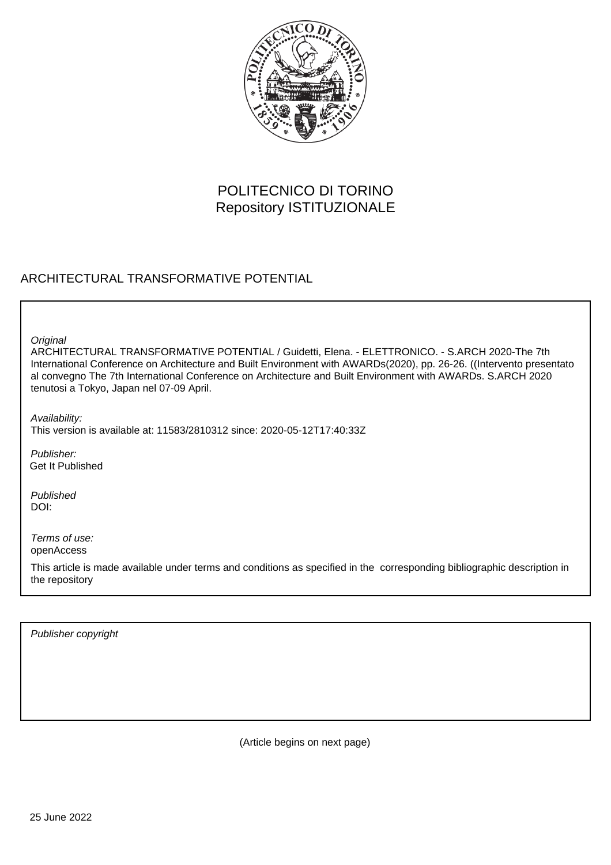

## POLITECNICO DI TORINO Repository ISTITUZIONALE

#### ARCHITECTURAL TRANSFORMATIVE POTENTIAL

**Original** 

ARCHITECTURAL TRANSFORMATIVE POTENTIAL / Guidetti, Elena. - ELETTRONICO. - S.ARCH 2020-The 7th International Conference on Architecture and Built Environment with AWARDs(2020), pp. 26-26. ((Intervento presentato al convegno The 7th International Conference on Architecture and Built Environment with AWARDs. S.ARCH 2020 tenutosi a Tokyo, Japan nel 07-09 April.

Availability:

This version is available at: 11583/2810312 since: 2020-05-12T17:40:33Z

Publisher: Get It Published

Published DOI:

Terms of use: openAccess

This article is made available under terms and conditions as specified in the corresponding bibliographic description in the repository

Publisher copyright

(Article begins on next page)